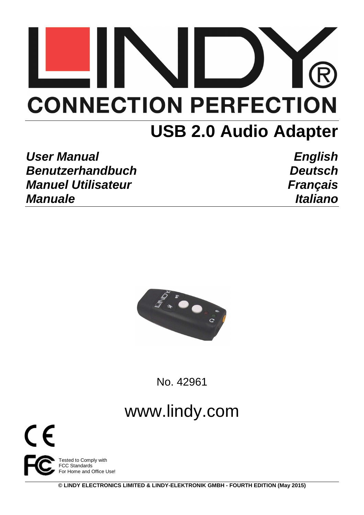# **CONNECTION PERFECTION**

# **USB 2.0 Audio Adapter**

User Manual **English Benutzerhandbuch Deutsch Manuel Utilisateur Communication Communication Communication Communication Communication Communication Communication Communication Communication Communication Communication Communication Communication Communication Commun Manuale Italiano Italiano** 



No. 42961

# www.lindy.com



**© LINDY ELECTRONICS LIMITED & LINDY-ELEKTRONIK GMBH - FOURTH EDITION (May 2015)**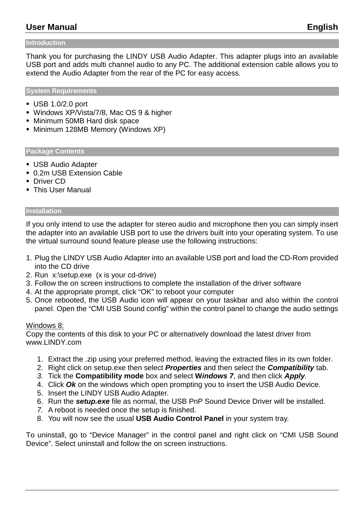# **User Manual English**

#### **Introduction**

Thank you for purchasing the LINDY USB Audio Adapter. This adapter plugs into an available USB port and adds multi channel audio to any PC. The additional extension cable allows you to extend the Audio Adapter from the rear of the PC for easy access.

#### **System Requirements**

- USB 1.0/2.0 port
- Windows XP/Vista/7/8, Mac OS 9 & higher
- Minimum 50MB Hard disk space
- **Minimum 128MB Memory (Windows XP)**

#### **Package Contents**

- USB Audio Adapter
- 0.2m USB Extension Cable
- **Driver CD**
- **This User Manual**

#### **Installation**

If you only intend to use the adapter for stereo audio and microphone then you can simply insert the adapter into an available USB port to use the drivers built into your operating system. To use the virtual surround sound feature please use the following instructions:

- 1. Plug the LINDY USB Audio Adapter into an available USB port and load the CD-Rom provided into the CD drive
- 2. Run x:\setup.exe (x is your cd-drive)
- 3. Follow the on screen instructions to complete the installation of the driver software
- 4. At the appropriate prompt, click "OK" to reboot your computer
- 5. Once rebooted, the USB Audio icon will appear on your taskbar and also within the control panel. Open the "CMI USB Sound config" within the control panel to change the audio settings

#### Windows 8:

Copy the contents of this disk to your PC or alternatively download the latest driver from www.LINDY.com

- 1. Extract the .zip using your preferred method, leaving the extracted files in its own folder.
- 2. Right click on setup.exe then select **Properties** and then select the **Compatibility** tab.
- 3. Tick the **Compatibility mode** box and select **Windows 7**, and then click **Apply**.
- 4. Click **Ok** on the windows which open prompting you to insert the USB Audio Device.
- 5. Insert the LINDY USB Audio Adapter.
- 6. Run the **setup.exe** file as normal, the USB PnP Sound Device Driver will be installed.
- 7. A reboot is needed once the setup is finished.
- 8. You will now see the usual **USB Audio Control Panel** in your system tray.

To uninstall, go to "Device Manager" in the control panel and right click on "CMI USB Sound Device". Select uninstall and follow the on screen instructions.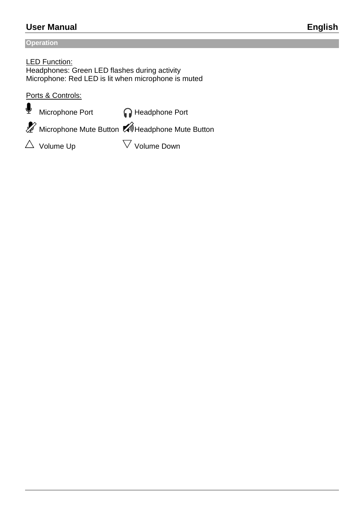# **User Manual English**

#### **Operation**

LED Function: Headphones: Green LED flashes during activity Microphone: Red LED is lit when microphone is muted

Ports & Controls:

 $\Phi$  Microphone Port **netable Port** 

Microphone Mute Button Muleadphone Mute Button

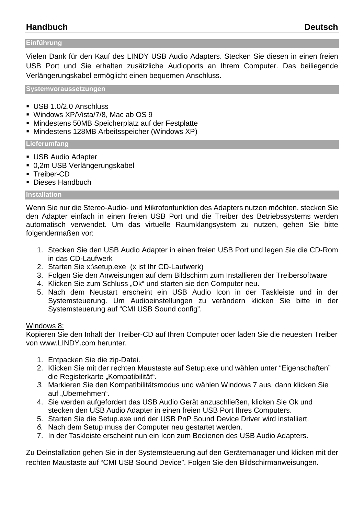# **Handbuch Deutsch**

#### **Einführung**

Vielen Dank für den Kauf des LINDY USB Audio Adapters. Stecken Sie diesen in einen freien USB Port und Sie erhalten zusätzliche Audioports an Ihrem Computer. Das beiliegende Verlängerungskabel ermöglicht einen bequemen Anschluss.

**Systemvoraussetzungen** 

- USB 1.0/2.0 Anschluss
- Windows XP/Vista/7/8, Mac ab OS 9
- Mindestens 50MB Speicherplatz auf der Festplatte
- Mindestens 128MB Arbeitsspeicher (Windows XP)

**Lieferumfang** 

- USB Audio Adapter
- 0,2m USB Verlängerungskabel
- Treiber-CD
- **Dieses Handbuch**

#### **Installation**

Wenn Sie nur die Stereo-Audio- und Mikrofonfunktion des Adapters nutzen möchten, stecken Sie den Adapter einfach in einen freien USB Port und die Treiber des Betriebssystems werden automatisch verwendet. Um das virtuelle Raumklangsystem zu nutzen, gehen Sie bitte folgendermaßen vor:

- 1. Stecken Sie den USB Audio Adapter in einen freien USB Port und legen Sie die CD-Rom in das CD-Laufwerk
- 2. Starten Sie x:\setup.exe (x ist Ihr CD-Laufwerk)
- 3. Folgen Sie den Anweisungen auf dem Bildschirm zum Installieren der Treibersoftware
- 4. Klicken Sie zum Schluss "Ok" und starten sie den Computer neu.
- 5. Nach dem Neustart erscheint ein USB Audio Icon in der Taskleiste und in der Systemsteuerung. Um Audioeinstellungen zu verändern klicken Sie bitte in der Systemsteuerung auf "CMI USB Sound config".

#### Windows 8:

Kopieren Sie den Inhalt der Treiber-CD auf Ihren Computer oder laden Sie die neuesten Treiber von www.LINDY.com herunter.

- 1. Entpacken Sie die zip-Datei.
- 2. Klicken Sie mit der rechten Maustaste auf Setup.exe und wählen unter "Eigenschaften" die Registerkarte "Kompatibilität".
- 3. Markieren Sie den Kompatibilitätsmodus und wählen Windows 7 aus, dann klicken Sie auf "Übernehmen".
- 4. Sie werden aufgefordert das USB Audio Gerät anzuschließen, klicken Sie Ok und stecken den USB Audio Adapter in einen freien USB Port Ihres Computers.
- 5. Starten Sie die Setup.exe und der USB PnP Sound Device Driver wird installiert.
- 6. Nach dem Setup muss der Computer neu gestartet werden.
- 7. In der Taskleiste erscheint nun ein Icon zum Bedienen des USB Audio Adapters.

Zu Deinstallation gehen Sie in der Systemsteuerung auf den Gerätemanager und klicken mit der rechten Maustaste auf "CMI USB Sound Device". Folgen Sie den Bildschirmanweisungen.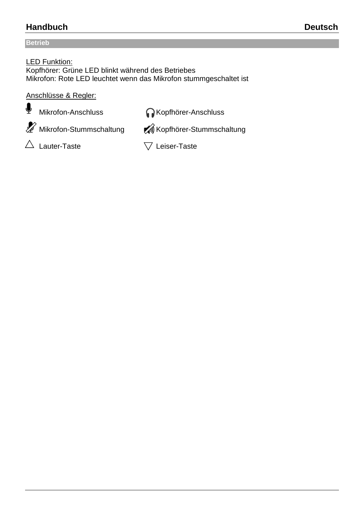# **Handbuch Deutsch**

## **Betrieb**

LED Funktion: Kopfhörer: Grüne LED blinkt während des Betriebes Mikrofon: Rote LED leuchtet wenn das Mikrofon stummgeschaltet ist

### Anschlüsse & Regler:

 $\blacklozenge$  Mikrofon-Anschluss Microsoft Mikrofon-Anschluss

 $\mathscr X$  Mikrofon-Stummschaltung  $\mathscr A$  Kopfhörer-Stummschaltung

 $\triangle$  Lauter-Taste  $\triangledown$  Leiser-Taste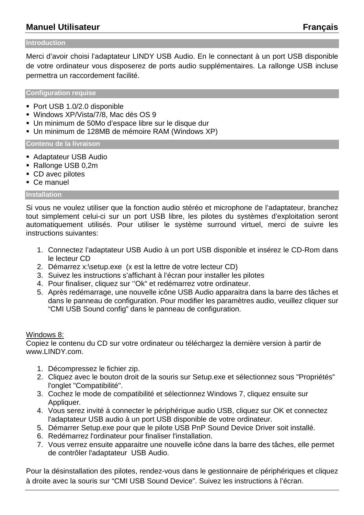# **Manuel Utilisateur Français**

#### **Introduction**

Merci d'avoir choisi l'adaptateur LINDY USB Audio. En le connectant à un port USB disponible de votre ordinateur vous disposerez de ports audio supplémentaires. La rallonge USB incluse permettra un raccordement facilité.

**Configuration requise** 

- Port USB 1.0/2.0 disponible
- Windows XP/Vista/7/8, Mac dès OS 9
- Un minimum de 50Mo d'espace libre sur le disque dur
- Un minimum de 128MB de mémoire RAM (Windows XP)

**Contenu de la livraison** 

- Adaptateur USB Audio
- Rallonge USB 0,2m
- CD avec pilotes
- Ce manuel

#### **Installation**

Si vous ne voulez utiliser que la fonction audio stéréo et microphone de l'adaptateur, branchez tout simplement celui-ci sur un port USB libre, les pilotes du systèmes d'exploitation seront automatiquement utilisés. Pour utiliser le système surround virtuel, merci de suivre les instructions suivantes:

- 1. Connectez l'adaptateur USB Audio à un port USB disponible et insérez le CD-Rom dans le lecteur CD
- 2. Démarrez x:\setup.exe (x est la lettre de votre lecteur CD)
- 3. Suivez les instructions s'affichant à l'écran pour installer les pilotes
- 4. Pour finaliser, cliquez sur ''Ok" et redémarrez votre ordinateur.
- 5. Après redémarrage, une nouvelle icône USB Audio apparaitra dans la barre des tâches et dans le panneau de configuration. Pour modifier les paramètres audio, veuillez cliquer sur "CMI USB Sound config" dans le panneau de configuration.

#### Windows 8:

Copiez le contenu du CD sur votre ordinateur ou téléchargez la dernière version à partir de www.LINDY.com.

- 1. Décompressez le fichier zip.
- 2. Cliquez avec le bouton droit de la souris sur Setup.exe et sélectionnez sous "Propriétés" l'onglet "Compatibilité".
- 3. Cochez le mode de compatibilité et sélectionnez Windows 7, cliquez ensuite sur Appliquer.
- 4. Vous serez invité à connecter le périphérique audio USB, cliquez sur OK et connectez l'adaptateur USB audio à un port USB disponible de votre ordinateur.
- 5. Démarrer Setup.exe pour que le pilote USB PnP Sound Device Driver soit installé.
- 6. Redémarrez l'ordinateur pour finaliser l'installation.
- 7. Vous verrez ensuite apparaitre une nouvelle icône dans la barre des tâches, elle permet de contrôler l'adaptateur USB Audio.

Pour la désinstallation des pilotes, rendez-vous dans le gestionnaire de périphériques et cliquez à droite avec la souris sur "CMI USB Sound Device". Suivez les instructions à l'écran.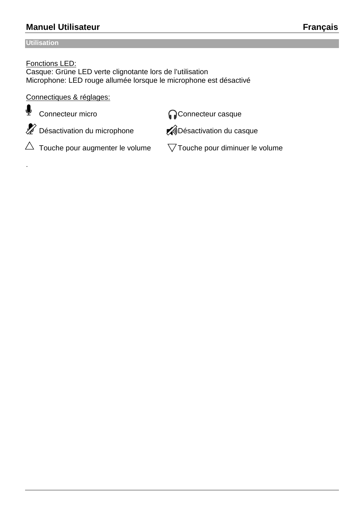# **Manuel Utilisateur Français**

#### **Utilisation**

.

#### Fonctions LED:

Casque: Grüne LED verte clignotante lors de l'utilisation Microphone: LED rouge allumée lorsque le microphone est désactivé

#### Connectiques & réglages:

**L** Connecteur micro Connecteur casque

Désactivation du microphone **AD**ésactivation du casque

 $\triangle~$  Touche pour augmenter le volume  $\sqrt{ }$  Touche pour diminuer le volume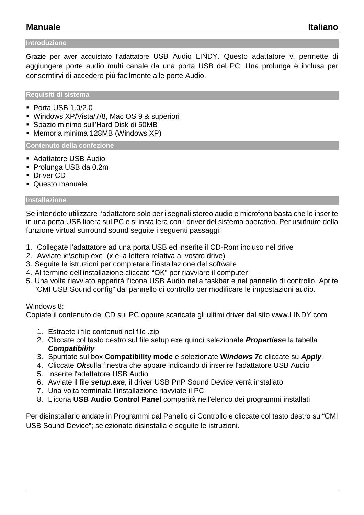# **Manuale Italiano**

#### **Introduzione**

Grazie per aver acquistato l'adattatore USB Audio LINDY. Questo adattatore vi permette di aggiungere porte audio multi canale da una porta USB del PC. Una prolunga è inclusa per conserntirvi di accedere più facilmente alle porte Audio.

**Requisiti di sistema** 

- $\blacksquare$  Porta USB 1.0/2.0
- Windows XP/Vista/7/8, Mac OS 9 & superiori
- Spazio minimo sull'Hard Disk di 50MB
- Memoria minima 128MB (Windows XP)

**Contenuto della confezione** 

- Adattatore USB Audio
- Prolunga USB da 0.2m
- **Driver CD**
- Questo manuale

#### **Installazione**

Se intendete utilizzare l'adattatore solo per i segnali stereo audio e microfono basta che lo inserite in una porta USB libera sul PC e si installerà con i driver del sistema operativo. Per usufruire della funzione virtual surround sound seguite i seguenti passaggi:

- 1. Collegate l'adattatore ad una porta USB ed inserite il CD-Rom incluso nel drive
- 2. Avviate x:\setup.exe (x è la lettera relativa al vostro drive)
- 3. Seguite le istruzioni per completare l'installazione del software
- 4. Al termine dell'installazione cliccate "OK" per riavviare il computer
- 5. Una volta riavviato apparirà l'icona USB Audio nella taskbar e nel pannello di controllo. Aprite "CMI USB Sound config" dal pannello di controllo per modificare le impostazioni audio.

#### Windows 8:

Copiate il contenuto del CD sul PC oppure scaricate gli ultimi driver dal sito www.LINDY.com

- 1. Estraete i file contenuti nel file .zip
- 2. Cliccate col tasto destro sul file setup.exe quindi selezionate **Properties**e la tabella **Compatibility**
- 3. Spuntate sul box **Compatibility mode** e selezionate **Windows 7**e cliccate su **Apply**.
- 4. Cliccate **Ok**sulla finestra che appare indicando di inserire l'adattatore USB Audio
- 5. Inserite l'adattatore USB Audio
- 6. Avviate il file **setup.exe**, il driver USB PnP Sound Device verrà installato
- 7. Una volta terminata l'installazione riavviate il PC
- 8. L'icona **USB Audio Control Panel** comparirà nell'elenco dei programmi installati

Per disinstallarlo andate in Programmi dal Panello di Controllo e cliccate col tasto destro su "CMI USB Sound Device"; selezionate disinstalla e seguite le istruzioni.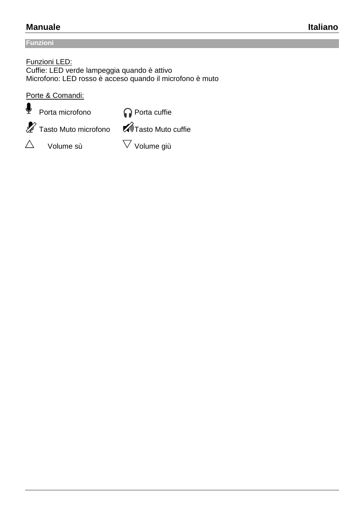# **Manuale** Italiano

### **Funzioni**

Funzioni LED: Cuffie: LED verde lampeggia quando è attivo Microfono: LED rosso è acceso quando il microfono è muto

Porte & Comandi:



 $\mathscr X$  Tasto Muto microfono  $\widehat{\mathscr M}$ Tasto Muto cuffie

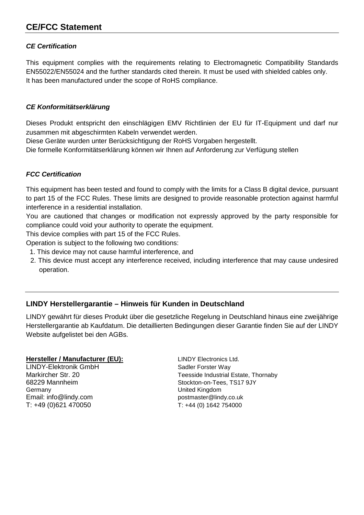# **CE/FCC Statement**

#### **CE Certification**

This equipment complies with the requirements relating to Electromagnetic Compatibility Standards EN55022/EN55024 and the further standards cited therein. It must be used with shielded cables only. It has been manufactured under the scope of RoHS compliance.

#### **CE Konformitätserklärung**

Dieses Produkt entspricht den einschlägigen EMV Richtlinien der EU für IT-Equipment und darf nur zusammen mit abgeschirmten Kabeln verwendet werden.

Diese Geräte wurden unter Berücksichtigung der RoHS Vorgaben hergestellt.

Die formelle Konformitätserklärung können wir Ihnen auf Anforderung zur Verfügung stellen

#### **FCC Certification**

This equipment has been tested and found to comply with the limits for a Class B digital device, pursuant to part 15 of the FCC Rules. These limits are designed to provide reasonable protection against harmful interference in a residential installation.

You are cautioned that changes or modification not expressly approved by the party responsible for compliance could void your authority to operate the equipment.

This device complies with part 15 of the FCC Rules.

Operation is subject to the following two conditions:

- 1. This device may not cause harmful interference, and
- 2. This device must accept any interference received, including interference that may cause undesired operation.

#### **LINDY Herstellergarantie – Hinweis für Kunden in Deutschland**

LINDY gewährt für dieses Produkt über die gesetzliche Regelung in Deutschland hinaus eine zweijährige Herstellergarantie ab Kaufdatum. Die detaillierten Bedingungen dieser Garantie finden Sie auf der LINDY Website aufgelistet bei den AGBs.

#### **Hersteller / Manufacturer (EU):** LINDY Electronics Ltd.

LINDY-Elektronik GmbH<br>
Markircher Str. 20<br>
Markircher Str. 20 Germany United Kingdom Email: info@lindy.com postmaster@lindy.co.uk T: +49 (0)621 470050 T: +44 (0) 1642 754000

Teesside Industrial Estate, Thornaby 68229 Mannheim Stockton-on-Tees, TS17 9JY